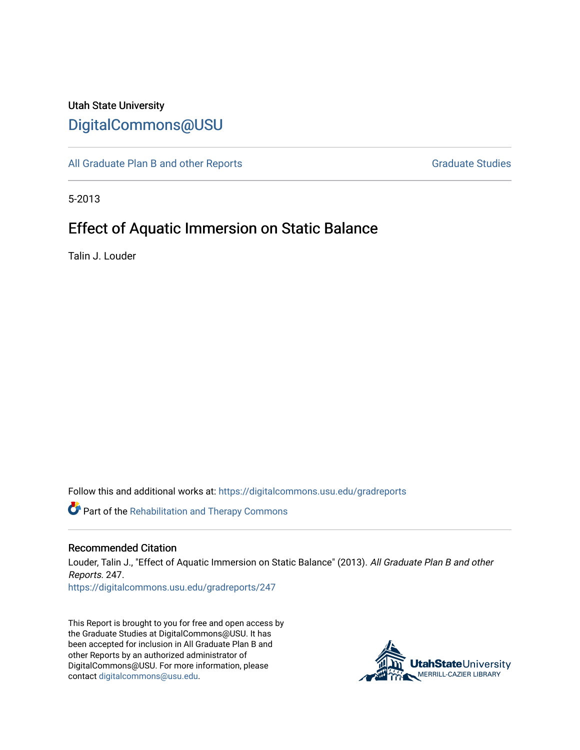## Utah State University [DigitalCommons@USU](https://digitalcommons.usu.edu/)

[All Graduate Plan B and other Reports](https://digitalcommons.usu.edu/gradreports) **Graduate Studies** Graduate Studies

5-2013

# Effect of Aquatic Immersion on Static Balance

Talin J. Louder

Follow this and additional works at: [https://digitalcommons.usu.edu/gradreports](https://digitalcommons.usu.edu/gradreports?utm_source=digitalcommons.usu.edu%2Fgradreports%2F247&utm_medium=PDF&utm_campaign=PDFCoverPages)

Part of the [Rehabilitation and Therapy Commons](http://network.bepress.com/hgg/discipline/749?utm_source=digitalcommons.usu.edu%2Fgradreports%2F247&utm_medium=PDF&utm_campaign=PDFCoverPages) 

#### Recommended Citation

Louder, Talin J., "Effect of Aquatic Immersion on Static Balance" (2013). All Graduate Plan B and other Reports. 247.

[https://digitalcommons.usu.edu/gradreports/247](https://digitalcommons.usu.edu/gradreports/247?utm_source=digitalcommons.usu.edu%2Fgradreports%2F247&utm_medium=PDF&utm_campaign=PDFCoverPages)

This Report is brought to you for free and open access by the Graduate Studies at DigitalCommons@USU. It has been accepted for inclusion in All Graduate Plan B and other Reports by an authorized administrator of DigitalCommons@USU. For more information, please contact [digitalcommons@usu.edu](mailto:digitalcommons@usu.edu).

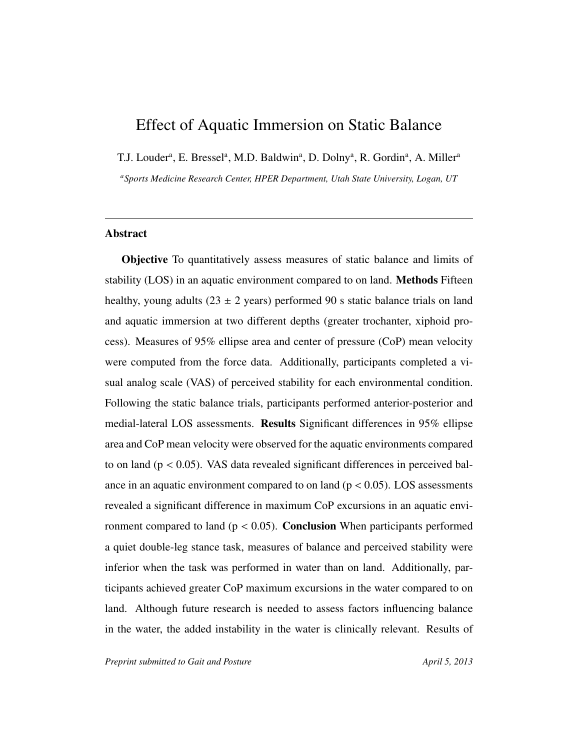## Effect of Aquatic Immersion on Static Balance

T.J. Louder<sup>a</sup>, E. Bressel<sup>a</sup>, M.D. Baldwin<sup>a</sup>, D. Dolny<sup>a</sup>, R. Gordin<sup>a</sup>, A. Miller<sup>a</sup>

*<sup>a</sup>Sports Medicine Research Center, HPER Department, Utah State University, Logan, UT*

## Abstract

Objective To quantitatively assess measures of static balance and limits of stability (LOS) in an aquatic environment compared to on land. Methods Fifteen healthy, young adults ( $23 \pm 2$  years) performed 90 s static balance trials on land and aquatic immersion at two different depths (greater trochanter, xiphoid process). Measures of 95% ellipse area and center of pressure (CoP) mean velocity were computed from the force data. Additionally, participants completed a visual analog scale (VAS) of perceived stability for each environmental condition. Following the static balance trials, participants performed anterior-posterior and medial-lateral LOS assessments. Results Significant differences in 95% ellipse area and CoP mean velocity were observed for the aquatic environments compared to on land ( $p < 0.05$ ). VAS data revealed significant differences in perceived balance in an aquatic environment compared to on land ( $p < 0.05$ ). LOS assessments revealed a significant difference in maximum CoP excursions in an aquatic environment compared to land ( $p < 0.05$ ). **Conclusion** When participants performed a quiet double-leg stance task, measures of balance and perceived stability were inferior when the task was performed in water than on land. Additionally, participants achieved greater CoP maximum excursions in the water compared to on land. Although future research is needed to assess factors influencing balance in the water, the added instability in the water is clinically relevant. Results of

*Preprint submitted to Gait and Posture* April 5, 2013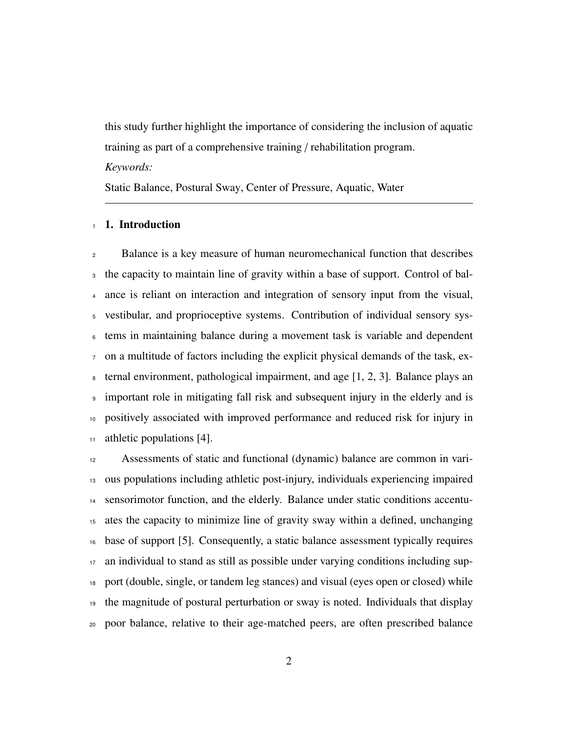this study further highlight the importance of considering the inclusion of aquatic training as part of a comprehensive training / rehabilitation program. *Keywords:*

Static Balance, Postural Sway, Center of Pressure, Aquatic, Water

## 1. Introduction

 Balance is a key measure of human neuromechanical function that describes the capacity to maintain line of gravity within a base of support. Control of bal- ance is reliant on interaction and integration of sensory input from the visual, vestibular, and proprioceptive systems. Contribution of individual sensory sys- tems in maintaining balance during a movement task is variable and dependent on a multitude of factors including the explicit physical demands of the task, ex- $\alpha$  ternal environment, pathological impairment, and age [1, 2, 3]. Balance plays an important role in mitigating fall risk and subsequent injury in the elderly and is positively associated with improved performance and reduced risk for injury in athletic populations [4].

 Assessments of static and functional (dynamic) balance are common in vari- ous populations including athletic post-injury, individuals experiencing impaired sensorimotor function, and the elderly. Balance under static conditions accentu- ates the capacity to minimize line of gravity sway within a defined, unchanging base of support [5]. Consequently, a static balance assessment typically requires an individual to stand as still as possible under varying conditions including sup- port (double, single, or tandem leg stances) and visual (eyes open or closed) while the magnitude of postural perturbation or sway is noted. Individuals that display poor balance, relative to their age-matched peers, are often prescribed balance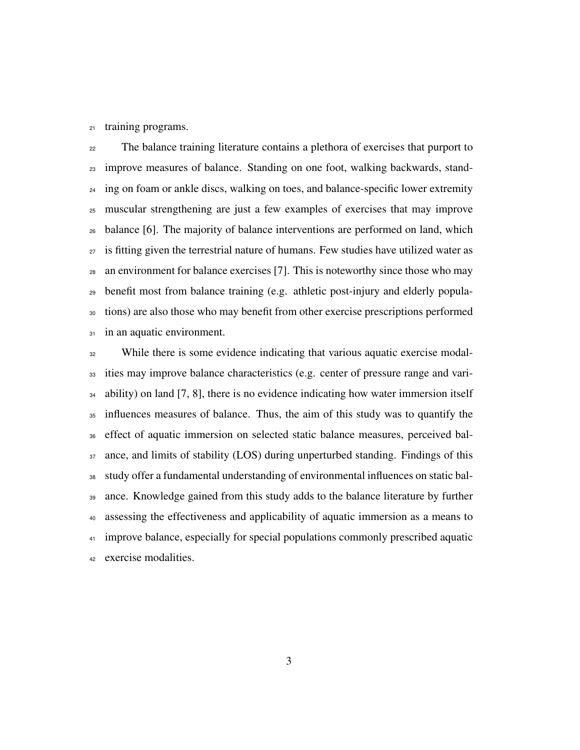training programs.

 The balance training literature contains a plethora of exercises that purport to improve measures of balance. Standing on one foot, walking backwards, stand-<sup>24</sup> ing on foam or ankle discs, walking on toes, and balance-specific lower extremity muscular strengthening are just a few examples of exercises that may improve balance [6]. The majority of balance interventions are performed on land, which is fitting given the terrestrial nature of humans. Few studies have utilized water as an environment for balance exercises [7]. This is noteworthy since those who may benefit most from balance training (e.g. athletic post-injury and elderly popula- tions) are also those who may benefit from other exercise prescriptions performed 31 in an aquatic environment.

 While there is some evidence indicating that various aquatic exercise modal- ities may improve balance characteristics (e.g. center of pressure range and vari- ability) on land [7, 8], there is no evidence indicating how water immersion itself influences measures of balance. Thus, the aim of this study was to quantify the effect of aquatic immersion on selected static balance measures, perceived bal- ance, and limits of stability (LOS) during unperturbed standing. Findings of this study offer a fundamental understanding of environmental influences on static bal- ance. Knowledge gained from this study adds to the balance literature by further assessing the effectiveness and applicability of aquatic immersion as a means to <sup>41</sup> improve balance, especially for special populations commonly prescribed aquatic exercise modalities.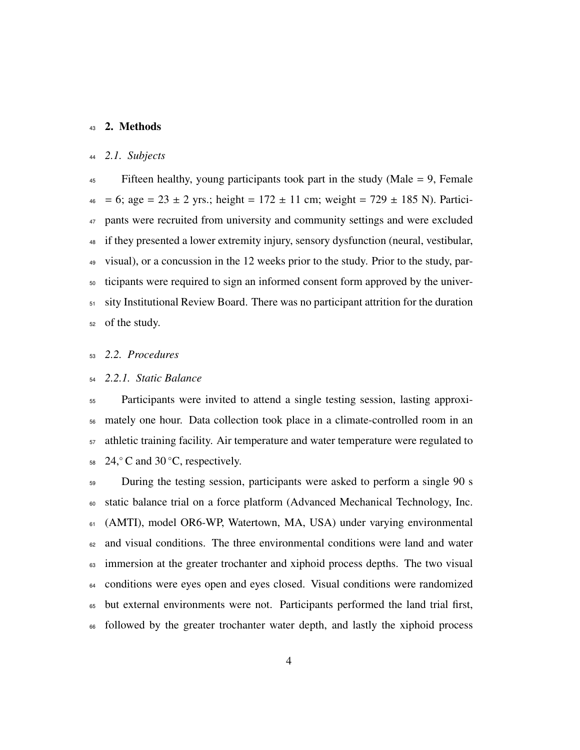## 2. Methods

## *2.1. Subjects*

 Fifteen healthy, young participants took part in the study (Male = 9, Female  $_{46}$  = 6; age = 23 ± 2 yrs.; height = 172 ± 11 cm; weight = 729 ± 185 N). Partici- pants were recruited from university and community settings and were excluded if they presented a lower extremity injury, sensory dysfunction (neural, vestibular, visual), or a concussion in the 12 weeks prior to the study. Prior to the study, par- ticipants were required to sign an informed consent form approved by the univer- sity Institutional Review Board. There was no participant attrition for the duration of the study.

## *2.2. Procedures*

## *2.2.1. Static Balance*

 Participants were invited to attend a single testing session, lasting approxi- mately one hour. Data collection took place in a climate-controlled room in an athletic training facility. Air temperature and water temperature were regulated to  $24,^\circ$  C and 30 °C, respectively.

 During the testing session, participants were asked to perform a single 90 s static balance trial on a force platform (Advanced Mechanical Technology, Inc. (AMTI), model OR6-WP, Watertown, MA, USA) under varying environmental and visual conditions. The three environmental conditions were land and water <sup>63</sup> immersion at the greater trochanter and xiphoid process depths. The two visual <sup>64</sup> conditions were eyes open and eyes closed. Visual conditions were randomized but external environments were not. Participants performed the land trial first, followed by the greater trochanter water depth, and lastly the xiphoid process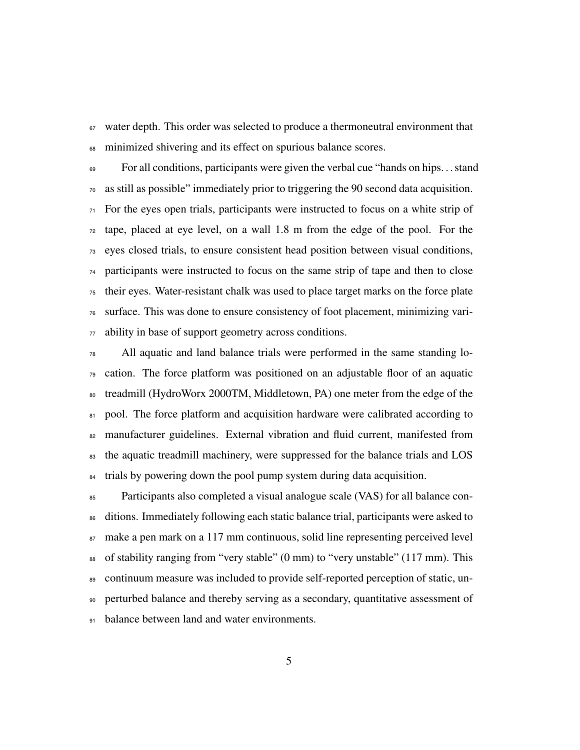water depth. This order was selected to produce a thermoneutral environment that minimized shivering and its effect on spurious balance scores.

 For all conditions, participants were given the verbal cue "hands on hips. . . stand as still as possible" immediately prior to triggering the 90 second data acquisition. For the eyes open trials, participants were instructed to focus on a white strip of tape, placed at eye level, on a wall 1.8 m from the edge of the pool. For the eyes closed trials, to ensure consistent head position between visual conditions, participants were instructed to focus on the same strip of tape and then to close their eyes. Water-resistant chalk was used to place target marks on the force plate surface. This was done to ensure consistency of foot placement, minimizing vari-ability in base of support geometry across conditions.

 All aquatic and land balance trials were performed in the same standing lo- cation. The force platform was positioned on an adjustable floor of an aquatic treadmill (HydroWorx 2000TM, Middletown, PA) one meter from the edge of the 81 pool. The force platform and acquisition hardware were calibrated according to manufacturer guidelines. External vibration and fluid current, manifested from the aquatic treadmill machinery, were suppressed for the balance trials and LOS <sup>84</sup> trials by powering down the pool pump system during data acquisition.

 Participants also completed a visual analogue scale (VAS) for all balance con-<sup>86</sup> ditions. Immediately following each static balance trial, participants were asked to make a pen mark on a 117 mm continuous, solid line representing perceived level of stability ranging from "very stable" (0 mm) to "very unstable" (117 mm). This continuum measure was included to provide self-reported perception of static, un- perturbed balance and thereby serving as a secondary, quantitative assessment of 91 balance between land and water environments.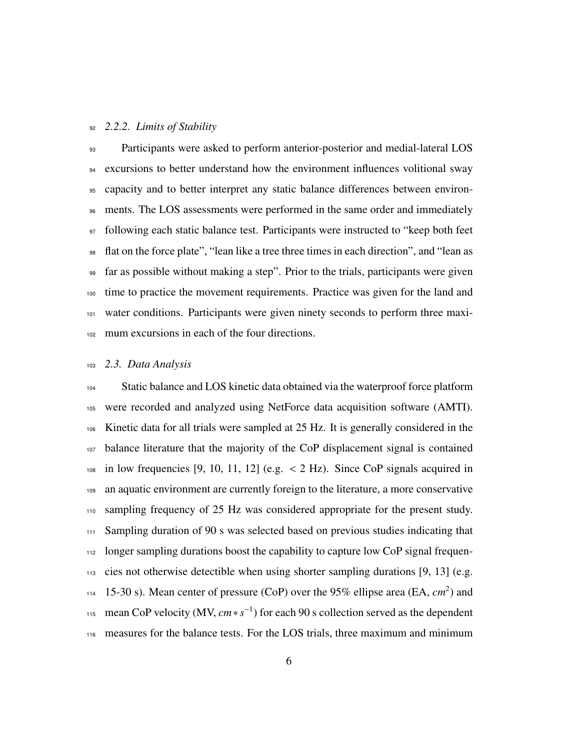#### *2.2.2. Limits of Stability*

93 Participants were asked to perform anterior-posterior and medial-lateral LOS excursions to better understand how the environment influences volitional sway capacity and to better interpret any static balance differences between environ- ments. The LOS assessments were performed in the same order and immediately following each static balance test. Participants were instructed to "keep both feet flat on the force plate", "lean like a tree three times in each direction", and "lean as far as possible without making a step". Prior to the trials, participants were given time to practice the movement requirements. Practice was given for the land and water conditions. Participants were given ninety seconds to perform three maxi-mum excursions in each of the four directions.

#### *2.3. Data Analysis*

 Static balance and LOS kinetic data obtained via the waterproof force platform were recorded and analyzed using NetForce data acquisition software (AMTI). Kinetic data for all trials were sampled at 25 Hz. It is generally considered in the balance literature that the majority of the CoP displacement signal is contained  $_{108}$  in low frequencies [9, 10, 11, 12] (e.g.  $<$  2 Hz). Since CoP signals acquired in an aquatic environment are currently foreign to the literature, a more conservative sampling frequency of 25 Hz was considered appropriate for the present study. Sampling duration of 90 s was selected based on previous studies indicating that <sup>112</sup> longer sampling durations boost the capability to capture low CoP signal frequen- cies not otherwise detectible when using shorter sampling durations [9, 13] (e.g. 114 15-30 s). Mean center of pressure (CoP) over the 95% ellipse area (EA,  $cm<sup>2</sup>$ ) and  $m_{115}$  mean CoP velocity (MV,  $cm * s^{-1}$ ) for each 90 s collection served as the dependent measures for the balance tests. For the LOS trials, three maximum and minimum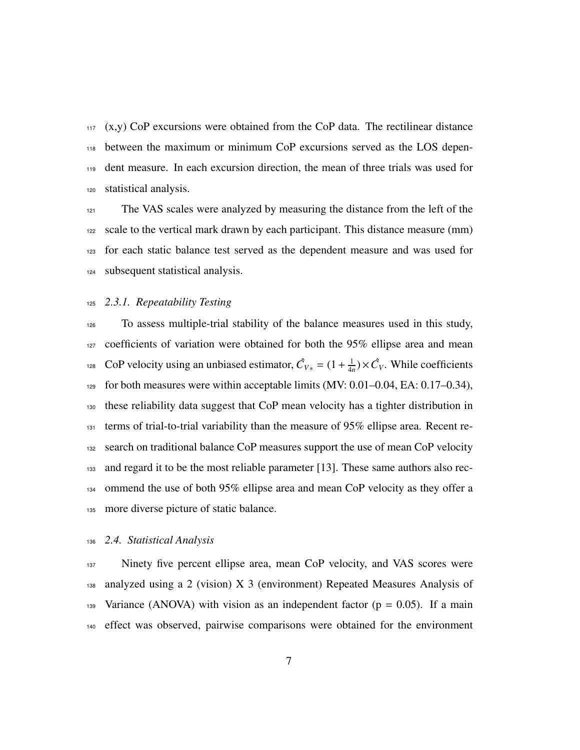(x,y) CoP excursions were obtained from the CoP data. The rectilinear distance between the maximum or minimum CoP excursions served as the LOS depen- dent measure. In each excursion direction, the mean of three trials was used for statistical analysis.

<sup>121</sup> The VAS scales were analyzed by measuring the distance from the left of the scale to the vertical mark drawn by each participant. This distance measure (mm) for each static balance test served as the dependent measure and was used for subsequent statistical analysis.

#### *2.3.1. Repeatability Testing*

 To assess multiple-trial stability of the balance measures used in this study, coefficients of variation were obtained for both the 95% ellipse area and mean CoP velocity using an unbiased estimator,  $\hat{C}_{V*} = (1 + \frac{1}{4}$ <sup>128</sup> CoP velocity using an unbiased estimator,  $\hat{C}_{V*} = (1 + \frac{1}{4n}) \times \hat{C}_V$ . While coefficients for both measures were within acceptable limits (MV: 0.01–0.04, EA: 0.17–0.34), these reliability data suggest that CoP mean velocity has a tighter distribution in terms of trial-to-trial variability than the measure of 95% ellipse area. Recent re- search on traditional balance CoP measures support the use of mean CoP velocity and regard it to be the most reliable parameter [13]. These same authors also rec- ommend the use of both 95% ellipse area and mean CoP velocity as they offer a more diverse picture of static balance.

#### *2.4. Statistical Analysis*

137 Ninety five percent ellipse area, mean CoP velocity, and VAS scores were analyzed using a 2 (vision) X 3 (environment) Repeated Measures Analysis of 139 Variance (ANOVA) with vision as an independent factor ( $p = 0.05$ ). If a main effect was observed, pairwise comparisons were obtained for the environment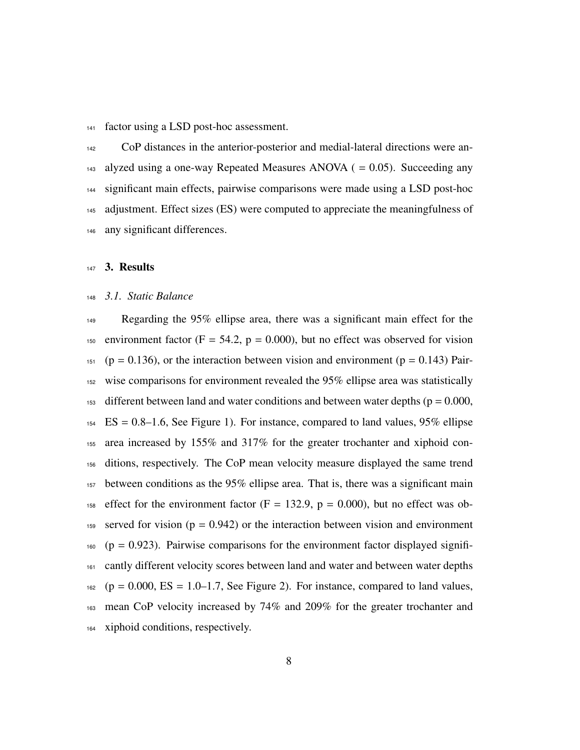factor using a LSD post-hoc assessment.

 CoP distances in the anterior-posterior and medial-lateral directions were an- $_{143}$  alyzed using a one-way Repeated Measures ANOVA ( = 0.05). Succeeding any significant main effects, pairwise comparisons were made using a LSD post-hoc adjustment. Effect sizes (ES) were computed to appreciate the meaningfulness of any significant differences.

#### 3. Results

## *3.1. Static Balance*

 Regarding the 95% ellipse area, there was a significant main effect for the 150 environment factor (F = 54.2,  $p = 0.000$ ), but no effect was observed for vision (p = 0.136), or the interaction between vision and environment (p = 0.143) Pair- wise comparisons for environment revealed the 95% ellipse area was statistically  $_{153}$  different between land and water conditions and between water depths ( $p = 0.000$ , ES = 0.8–1.6, See Figure 1). For instance, compared to land values, 95% ellipse area increased by 155% and 317% for the greater trochanter and xiphoid con- ditions, respectively. The CoP mean velocity measure displayed the same trend between conditions as the 95% ellipse area. That is, there was a significant main 158 effect for the environment factor  $(F = 132.9, p = 0.000)$ , but no effect was ob-159 served for vision ( $p = 0.942$ ) or the interaction between vision and environment (p = 0.923). Pairwise comparisons for the environment factor displayed signifi- cantly different velocity scores between land and water and between water depths (p = 0.000, ES = 1.0–1.7, See Figure 2). For instance, compared to land values, mean CoP velocity increased by 74% and 209% for the greater trochanter and xiphoid conditions, respectively.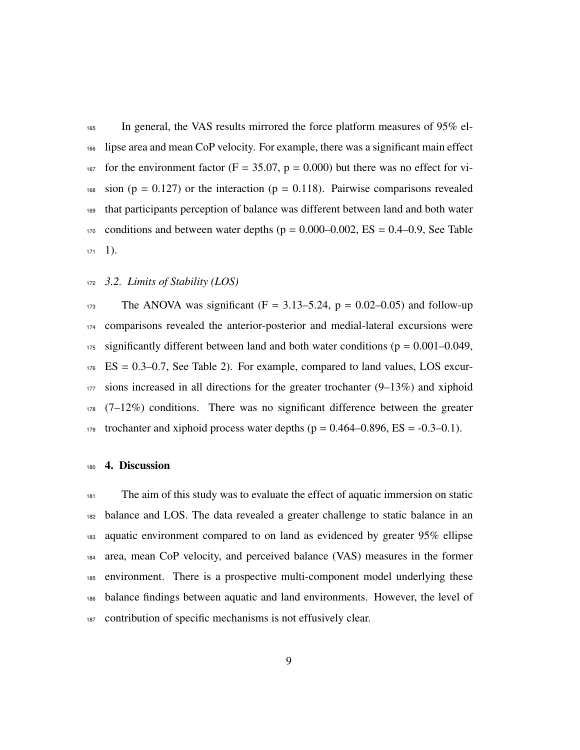In general, the VAS results mirrored the force platform measures of 95% el- lipse area and mean CoP velocity. For example, there was a significant main effect 167 for the environment factor ( $F = 35.07$ ,  $p = 0.000$ ) but there was no effect for vi- sion (p = 0.127) or the interaction (p = 0.118). Pairwise comparisons revealed that participants perception of balance was different between land and both water conditions and between water depths (p = 0.000–0.002, ES = 0.4–0.9, See Table  $171 \quad 1$ ).

## *3.2. Limits of Stability (LOS)*

173 The ANOVA was significant  $(F = 3.13-5.24, p = 0.02-0.05)$  and follow-up comparisons revealed the anterior-posterior and medial-lateral excursions were significantly different between land and both water conditions ( $p = 0.001 - 0.049$ , ES = 0.3–0.7, See Table 2). For example, compared to land values, LOS excur- sions increased in all directions for the greater trochanter (9–13%) and xiphoid (7–12%) conditions. There was no significant difference between the greater 179 trochanter and xiphoid process water depths ( $p = 0.464 - 0.896$ ,  $ES = -0.3 - 0.1$ ).

#### 4. Discussion

 The aim of this study was to evaluate the effect of aquatic immersion on static balance and LOS. The data revealed a greater challenge to static balance in an aquatic environment compared to on land as evidenced by greater 95% ellipse area, mean CoP velocity, and perceived balance (VAS) measures in the former environment. There is a prospective multi-component model underlying these balance findings between aquatic and land environments. However, the level of contribution of specific mechanisms is not effusively clear.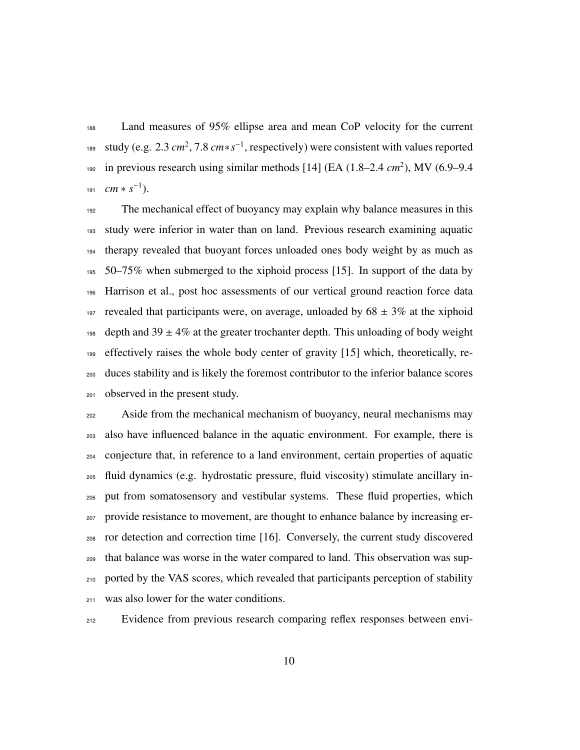Land measures of 95% ellipse area and mean CoP velocity for the current <sup>189</sup> study (e.g. 2.3 *cm*<sup>2</sup>, 7.8 *cm*∗*s*<sup>-1</sup>, respectively) were consistent with values reported 190 in previous research using similar methods [14] (EA (1.8–2.4 *cm*<sup>2</sup>), MV (6.9–9.4  $cm * s^{-1}$ ).

 The mechanical effect of buoyancy may explain why balance measures in this study were inferior in water than on land. Previous research examining aquatic therapy revealed that buoyant forces unloaded ones body weight by as much as 50–75% when submerged to the xiphoid process [15]. In support of the data by Harrison et al., post hoc assessments of our vertical ground reaction force data 197 revealed that participants were, on average, unloaded by  $68 \pm 3\%$  at the xiphoid 198 depth and  $39 \pm 4\%$  at the greater trochanter depth. This unloading of body weight effectively raises the whole body center of gravity [15] which, theoretically, re- duces stability and is likely the foremost contributor to the inferior balance scores observed in the present study.

 Aside from the mechanical mechanism of buoyancy, neural mechanisms may also have influenced balance in the aquatic environment. For example, there is conjecture that, in reference to a land environment, certain properties of aquatic fluid dynamics (e.g. hydrostatic pressure, fluid viscosity) stimulate ancillary in- put from somatosensory and vestibular systems. These fluid properties, which provide resistance to movement, are thought to enhance balance by increasing er- ror detection and correction time [16]. Conversely, the current study discovered that balance was worse in the water compared to land. This observation was sup- ported by the VAS scores, which revealed that participants perception of stability was also lower for the water conditions.

Evidence from previous research comparing reflex responses between envi-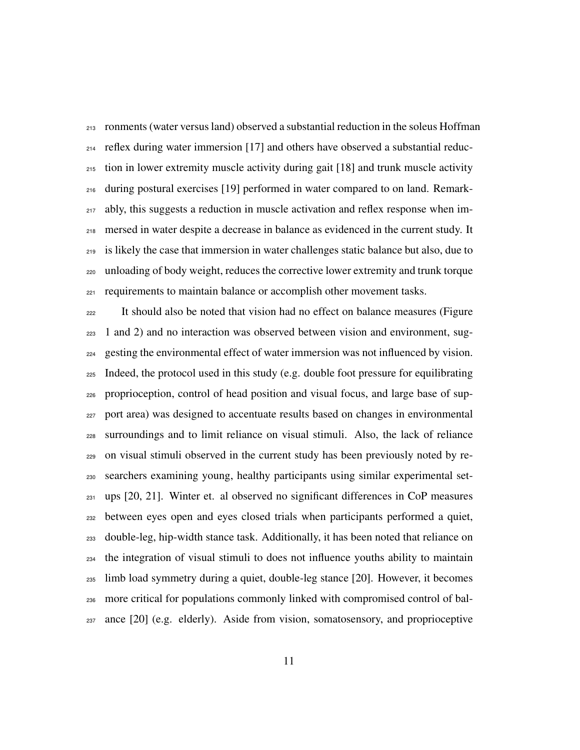ronments (water versus land) observed a substantial reduction in the soleus Hoffman reflex during water immersion [17] and others have observed a substantial reduc- tion in lower extremity muscle activity during gait [18] and trunk muscle activity during postural exercises [19] performed in water compared to on land. Remark-<sub>217</sub> ably, this suggests a reduction in muscle activation and reflex response when im- mersed in water despite a decrease in balance as evidenced in the current study. It is likely the case that immersion in water challenges static balance but also, due to unloading of body weight, reduces the corrective lower extremity and trunk torque requirements to maintain balance or accomplish other movement tasks.

 It should also be noted that vision had no effect on balance measures (Figure 1 and 2) and no interaction was observed between vision and environment, sug- gesting the environmental effect of water immersion was not influenced by vision. Indeed, the protocol used in this study (e.g. double foot pressure for equilibrating proprioception, control of head position and visual focus, and large base of sup- port area) was designed to accentuate results based on changes in environmental surroundings and to limit reliance on visual stimuli. Also, the lack of reliance on visual stimuli observed in the current study has been previously noted by re- searchers examining young, healthy participants using similar experimental set- $_{231}$  ups [20, 21]. Winter et. al observed no significant differences in CoP measures between eyes open and eyes closed trials when participants performed a quiet, double-leg, hip-width stance task. Additionally, it has been noted that reliance on the integration of visual stimuli to does not influence youths ability to maintain limb load symmetry during a quiet, double-leg stance [20]. However, it becomes more critical for populations commonly linked with compromised control of bal-ance [20] (e.g. elderly). Aside from vision, somatosensory, and proprioceptive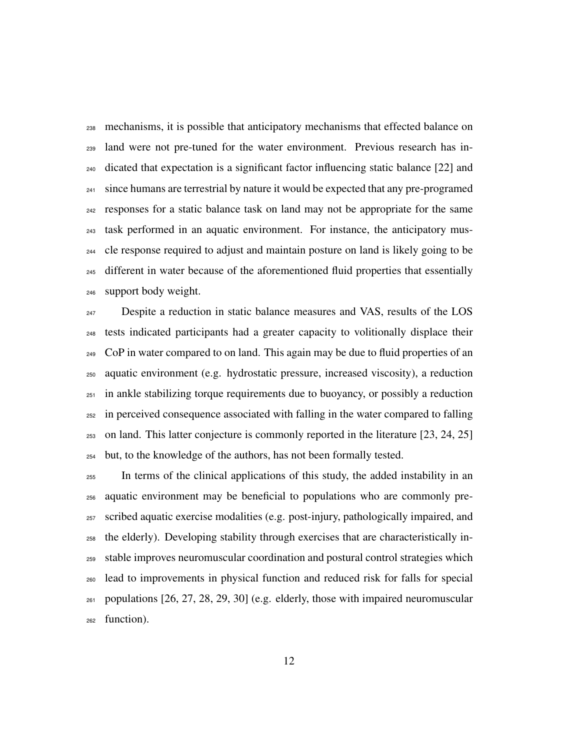mechanisms, it is possible that anticipatory mechanisms that effected balance on land were not pre-tuned for the water environment. Previous research has in- dicated that expectation is a significant factor influencing static balance [22] and <sup>241</sup> since humans are terrestrial by nature it would be expected that any pre-programed responses for a static balance task on land may not be appropriate for the same task performed in an aquatic environment. For instance, the anticipatory mus- cle response required to adjust and maintain posture on land is likely going to be different in water because of the aforementioned fluid properties that essentially support body weight.

 Despite a reduction in static balance measures and VAS, results of the LOS tests indicated participants had a greater capacity to volitionally displace their CoP in water compared to on land. This again may be due to fluid properties of an aquatic environment (e.g. hydrostatic pressure, increased viscosity), a reduction in ankle stabilizing torque requirements due to buoyancy, or possibly a reduction in perceived consequence associated with falling in the water compared to falling on land. This latter conjecture is commonly reported in the literature [23, 24, 25] but, to the knowledge of the authors, has not been formally tested.

 In terms of the clinical applications of this study, the added instability in an aquatic environment may be beneficial to populations who are commonly pre- scribed aquatic exercise modalities (e.g. post-injury, pathologically impaired, and the elderly). Developing stability through exercises that are characteristically in- stable improves neuromuscular coordination and postural control strategies which lead to improvements in physical function and reduced risk for falls for special  $_{261}$  populations [26, 27, 28, 29, 30] (e.g. elderly, those with impaired neuromuscular function).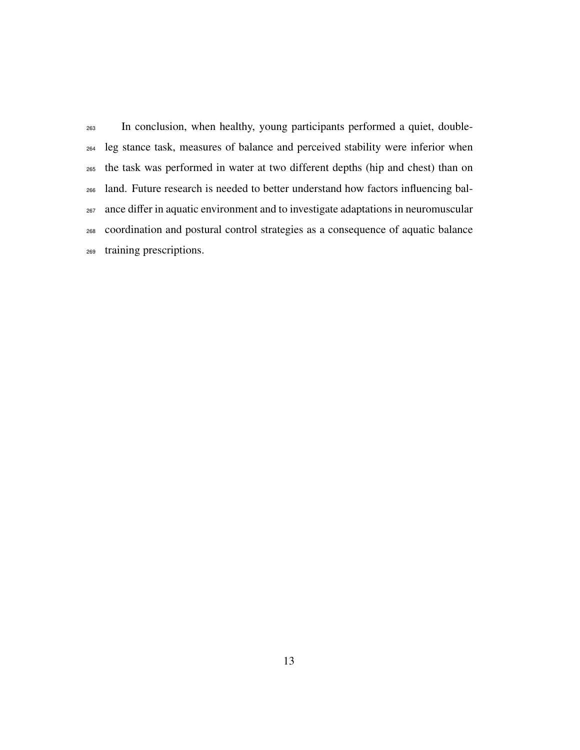In conclusion, when healthy, young participants performed a quiet, double- leg stance task, measures of balance and perceived stability were inferior when the task was performed in water at two different depths (hip and chest) than on land. Future research is needed to better understand how factors influencing bal- ance differ in aquatic environment and to investigate adaptations in neuromuscular coordination and postural control strategies as a consequence of aquatic balance training prescriptions.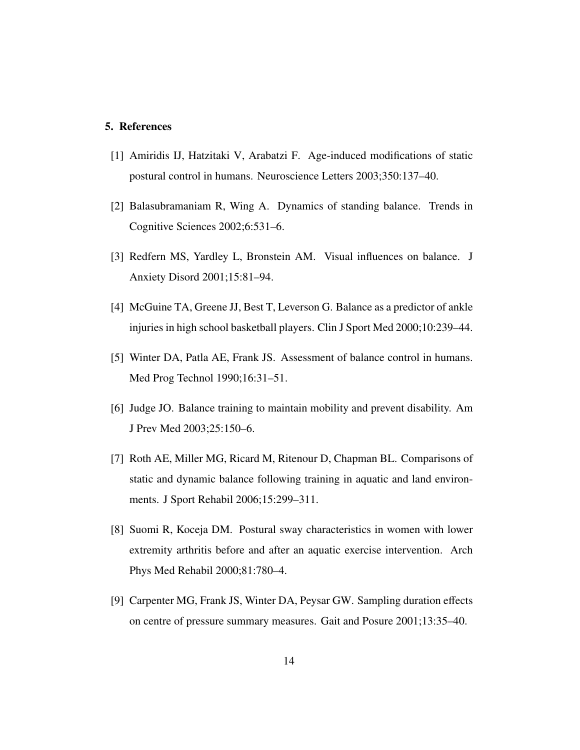## 5. References

- [1] Amiridis IJ, Hatzitaki V, Arabatzi F. Age-induced modifications of static postural control in humans. Neuroscience Letters 2003;350:137–40.
- [2] Balasubramaniam R, Wing A. Dynamics of standing balance. Trends in Cognitive Sciences 2002;6:531–6.
- [3] Redfern MS, Yardley L, Bronstein AM. Visual influences on balance. J Anxiety Disord 2001;15:81–94.
- [4] McGuine TA, Greene JJ, Best T, Leverson G. Balance as a predictor of ankle injuries in high school basketball players. Clin J Sport Med 2000;10:239–44.
- [5] Winter DA, Patla AE, Frank JS. Assessment of balance control in humans. Med Prog Technol 1990;16:31–51.
- [6] Judge JO. Balance training to maintain mobility and prevent disability. Am J Prev Med 2003;25:150–6.
- [7] Roth AE, Miller MG, Ricard M, Ritenour D, Chapman BL. Comparisons of static and dynamic balance following training in aquatic and land environments. J Sport Rehabil 2006;15:299–311.
- [8] Suomi R, Koceja DM. Postural sway characteristics in women with lower extremity arthritis before and after an aquatic exercise intervention. Arch Phys Med Rehabil 2000;81:780–4.
- [9] Carpenter MG, Frank JS, Winter DA, Peysar GW. Sampling duration effects on centre of pressure summary measures. Gait and Posure 2001;13:35–40.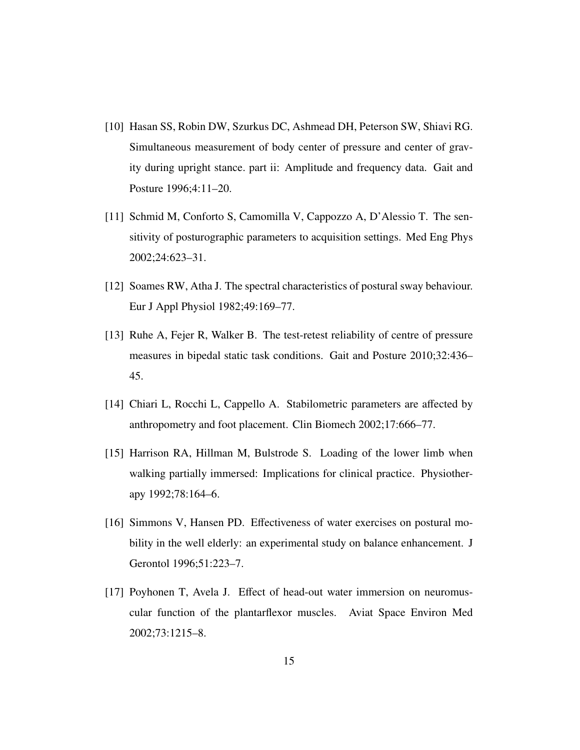- [10] Hasan SS, Robin DW, Szurkus DC, Ashmead DH, Peterson SW, Shiavi RG. Simultaneous measurement of body center of pressure and center of gravity during upright stance. part ii: Amplitude and frequency data. Gait and Posture 1996;4:11–20.
- [11] Schmid M, Conforto S, Camomilla V, Cappozzo A, D'Alessio T. The sensitivity of posturographic parameters to acquisition settings. Med Eng Phys 2002;24:623–31.
- [12] Soames RW, Atha J. The spectral characteristics of postural sway behaviour. Eur J Appl Physiol 1982;49:169–77.
- [13] Ruhe A, Fejer R, Walker B. The test-retest reliability of centre of pressure measures in bipedal static task conditions. Gait and Posture 2010;32:436– 45.
- [14] Chiari L, Rocchi L, Cappello A. Stabilometric parameters are affected by anthropometry and foot placement. Clin Biomech 2002;17:666–77.
- [15] Harrison RA, Hillman M, Bulstrode S. Loading of the lower limb when walking partially immersed: Implications for clinical practice. Physiotherapy 1992;78:164–6.
- [16] Simmons V, Hansen PD. Effectiveness of water exercises on postural mobility in the well elderly: an experimental study on balance enhancement. J Gerontol 1996;51:223–7.
- [17] Poyhonen T, Avela J. Effect of head-out water immersion on neuromuscular function of the plantarflexor muscles. Aviat Space Environ Med 2002;73:1215–8.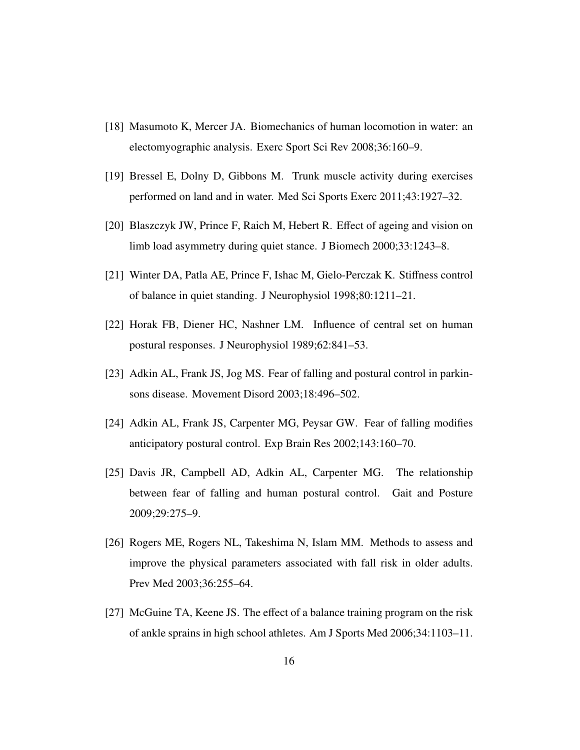- [18] Masumoto K, Mercer JA. Biomechanics of human locomotion in water: an electomyographic analysis. Exerc Sport Sci Rev 2008;36:160–9.
- [19] Bressel E, Dolny D, Gibbons M. Trunk muscle activity during exercises performed on land and in water. Med Sci Sports Exerc 2011;43:1927–32.
- [20] Blaszczyk JW, Prince F, Raich M, Hebert R. Effect of ageing and vision on limb load asymmetry during quiet stance. J Biomech 2000;33:1243–8.
- [21] Winter DA, Patla AE, Prince F, Ishac M, Gielo-Perczak K. Stiffness control of balance in quiet standing. J Neurophysiol 1998;80:1211–21.
- [22] Horak FB, Diener HC, Nashner LM. Influence of central set on human postural responses. J Neurophysiol 1989;62:841–53.
- [23] Adkin AL, Frank JS, Jog MS. Fear of falling and postural control in parkinsons disease. Movement Disord 2003;18:496–502.
- [24] Adkin AL, Frank JS, Carpenter MG, Peysar GW. Fear of falling modifies anticipatory postural control. Exp Brain Res 2002;143:160–70.
- [25] Davis JR, Campbell AD, Adkin AL, Carpenter MG. The relationship between fear of falling and human postural control. Gait and Posture 2009;29:275–9.
- [26] Rogers ME, Rogers NL, Takeshima N, Islam MM. Methods to assess and improve the physical parameters associated with fall risk in older adults. Prev Med 2003;36:255–64.
- [27] McGuine TA, Keene JS. The effect of a balance training program on the risk of ankle sprains in high school athletes. Am J Sports Med 2006;34:1103–11.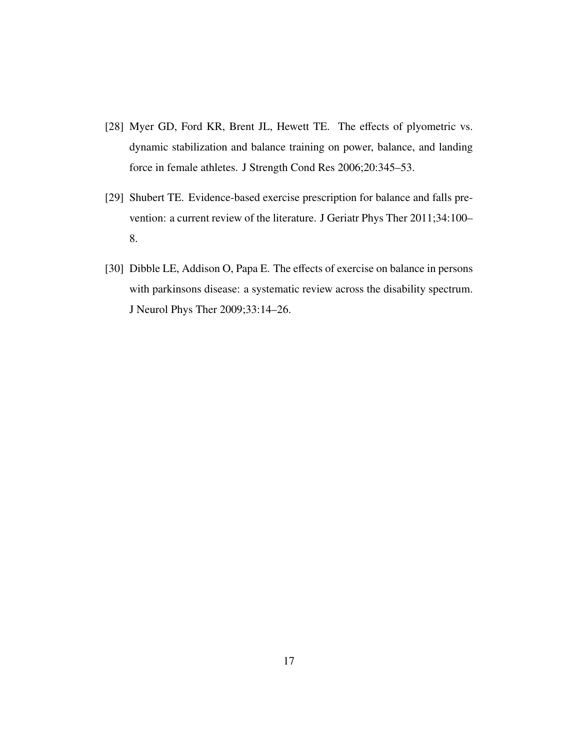- [28] Myer GD, Ford KR, Brent JL, Hewett TE. The effects of plyometric vs. dynamic stabilization and balance training on power, balance, and landing force in female athletes. J Strength Cond Res 2006;20:345–53.
- [29] Shubert TE. Evidence-based exercise prescription for balance and falls prevention: a current review of the literature. J Geriatr Phys Ther 2011;34:100– 8.
- [30] Dibble LE, Addison O, Papa E. The effects of exercise on balance in persons with parkinsons disease: a systematic review across the disability spectrum. J Neurol Phys Ther 2009;33:14–26.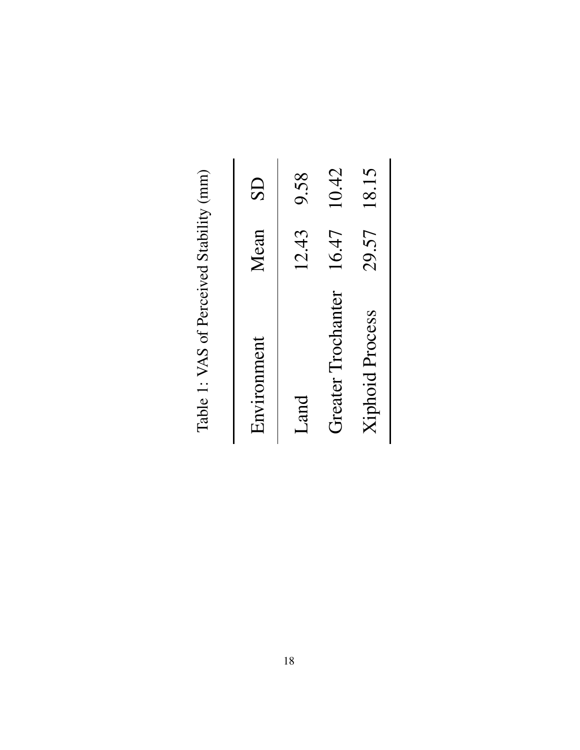| Environment        | Mean  | $\overline{\text{S}}$ |
|--------------------|-------|-----------------------|
| Land               | 12.43 | 9.58                  |
| Greater Trochanter | 16.47 | 10.42                 |
| Xiphoid Process    | 29.57 | 18.15                 |

Table 1: VAS of Perceived Stability (mm) Table 1: VAS of Perceived Stability (mm)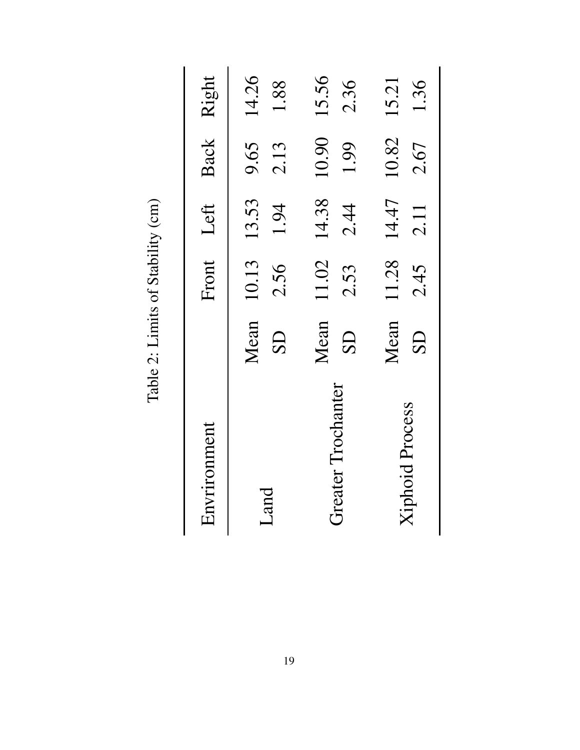| Envrironment           |                               |               | Front Left Back Right |               |                    |
|------------------------|-------------------------------|---------------|-----------------------|---------------|--------------------|
| Land                   | Mean<br>$\overline{\text{S}}$ | 2.56          | 10.13 13.53<br>1.94   | 2.13          | 9.65 14.26<br>1.88 |
| Greater Trochanter     | Mean<br>$\overline{\text{S}}$ | 11.02<br>2.53 | 14.38<br>2.44         | 10.90<br>1.99 | 15.56<br>2.36      |
| <b>Xiphoid Process</b> | Mean<br>$\overline{\text{S}}$ | 2.45          | 11.28 14.47<br>2.11   | 10.82<br>2.67 | 15.21<br>1.36      |

Table 2: Limits of Stability (cm) Table 2: Limits of Stability (cm)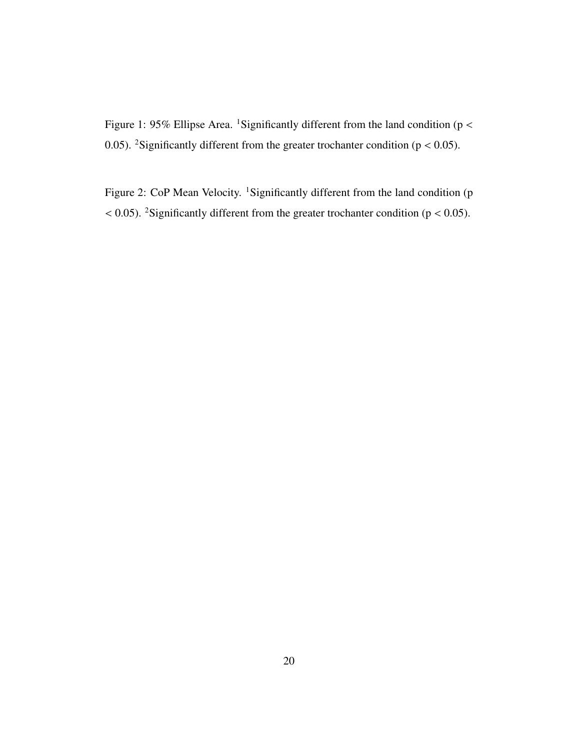Figure 1: 95% Ellipse Area. <sup>1</sup>Significantly different from the land condition ( $p <$ 0.05). <sup>2</sup>Significantly different from the greater trochanter condition ( $p < 0.05$ ).

Figure 2: CoP Mean Velocity. <sup>1</sup>Significantly different from the land condition (p  $<$  0.05). <sup>2</sup>Significantly different from the greater trochanter condition ( $p$  < 0.05).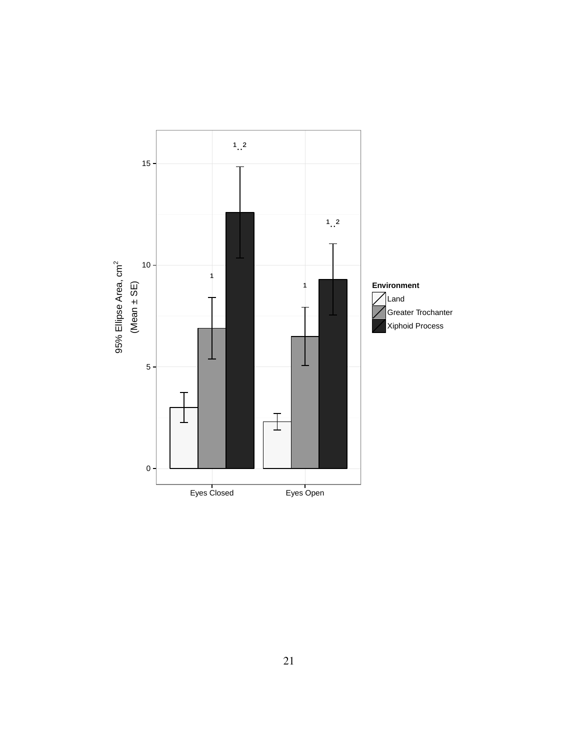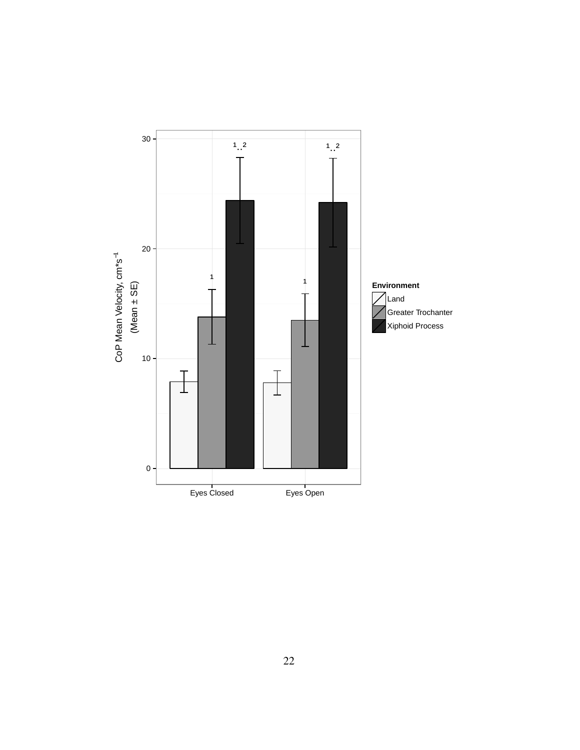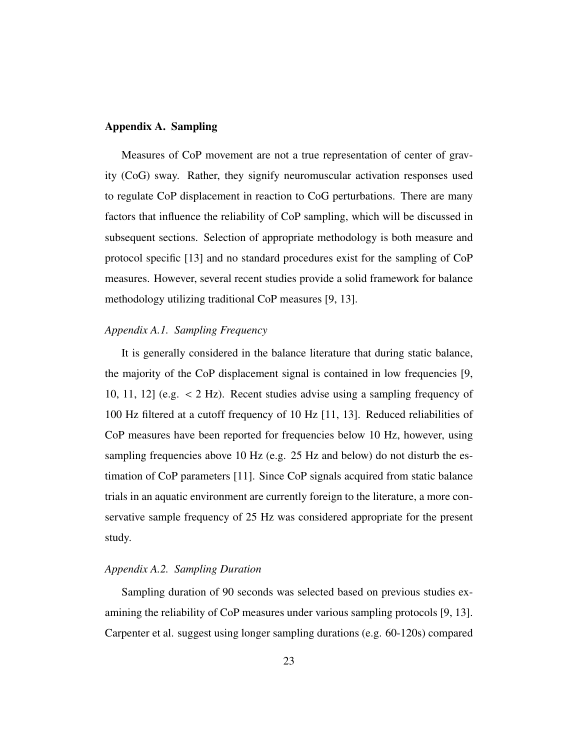#### Appendix A. Sampling

Measures of CoP movement are not a true representation of center of gravity (CoG) sway. Rather, they signify neuromuscular activation responses used to regulate CoP displacement in reaction to CoG perturbations. There are many factors that influence the reliability of CoP sampling, which will be discussed in subsequent sections. Selection of appropriate methodology is both measure and protocol specific [13] and no standard procedures exist for the sampling of CoP measures. However, several recent studies provide a solid framework for balance methodology utilizing traditional CoP measures [9, 13].

#### *Appendix A.1. Sampling Frequency*

It is generally considered in the balance literature that during static balance, the majority of the CoP displacement signal is contained in low frequencies [9, 10, 11, 12] (e.g. < 2 Hz). Recent studies advise using a sampling frequency of 100 Hz filtered at a cutoff frequency of 10 Hz [11, 13]. Reduced reliabilities of CoP measures have been reported for frequencies below 10 Hz, however, using sampling frequencies above 10 Hz (e.g. 25 Hz and below) do not disturb the estimation of CoP parameters [11]. Since CoP signals acquired from static balance trials in an aquatic environment are currently foreign to the literature, a more conservative sample frequency of 25 Hz was considered appropriate for the present study.

### *Appendix A.2. Sampling Duration*

Sampling duration of 90 seconds was selected based on previous studies examining the reliability of CoP measures under various sampling protocols [9, 13]. Carpenter et al. suggest using longer sampling durations (e.g. 60-120s) compared